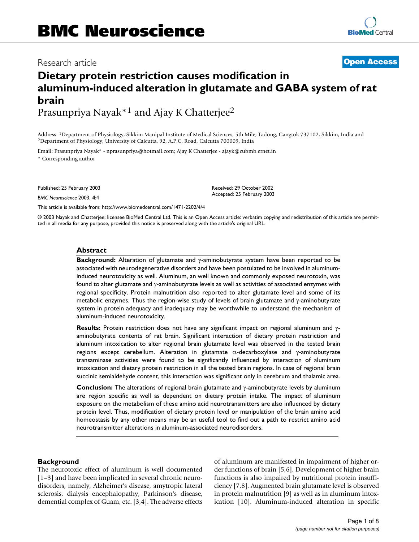# Research article **[Open Access](http://www.biomedcentral.com/info/about/charter/)**

# **Dietary protein restriction causes modification in aluminum-induced alteration in glutamate and GABA system of rat brain**

Prasunpriya Nayak\*1 and Ajay K Chatterjee2

Address: <sup>1</sup>Department of Physiology, Sikkim Manipal Institute of Medical Sciences, 5th Mile, Tadong, Gangtok 737102, Sikkim, India and <sup>2</sup>Department of Physiology, University of Calcutta, 92, A.P.C. Road, Calcutta 700009,

Email: Prasunpriya Nayak\* - nprasunpriya@hotmail.com; Ajay K Chatterjee - ajayk@cubmb.ernet.in \* Corresponding author

Published: 25 February 2003

*BMC Neuroscience* 2003, **4**:4

[This article is available from: http://www.biomedcentral.com/1471-2202/4/4](http://www.biomedcentral.com/1471-2202/4/4)

© 2003 Nayak and Chatterjee; licensee BioMed Central Ltd. This is an Open Access article: verbatim copying and redistribution of this article are permitted in all media for any purpose, provided this notice is preserved along with the article's original URL.

Received: 29 October 2002 Accepted: 25 February 2003

## **Abstract**

**Background:** Alteration of glutamate and γ-aminobutyrate system have been reported to be associated with neurodegenerative disorders and have been postulated to be involved in aluminuminduced neurotoxicity as well. Aluminum, an well known and commonly exposed neurotoxin, was found to alter glutamate and γ-aminobutyrate levels as well as activities of associated enzymes with regional specificity. Protein malnutrition also reported to alter glutamate level and some of its metabolic enzymes. Thus the region-wise study of levels of brain glutamate and γ-aminobutyrate system in protein adequacy and inadequacy may be worthwhile to understand the mechanism of aluminum-induced neurotoxicity.

**Results:** Protein restriction does not have any significant impact on regional aluminum and γaminobutyrate contents of rat brain. Significant interaction of dietary protein restriction and aluminum intoxication to alter regional brain glutamate level was observed in the tested brain regions except cerebellum. Alteration in glutamate α-decarboxylase and γ-aminobutyrate transaminase activities were found to be significantly influenced by interaction of aluminum intoxication and dietary protein restriction in all the tested brain regions. In case of regional brain succinic semialdehyde content, this interaction was significant only in cerebrum and thalamic area.

**Conclusion:** The alterations of regional brain glutamate and γ-aminobutyrate levels by aluminum are region specific as well as dependent on dietary protein intake. The impact of aluminum exposure on the metabolism of these amino acid neurotransmitters are also influenced by dietary protein level. Thus, modification of dietary protein level or manipulation of the brain amino acid homeostasis by any other means may be an useful tool to find out a path to restrict amino acid neurotransmitter alterations in aluminum-associated neurodisorders.

#### **Background**

The neurotoxic effect of aluminum is well documented [1–3] and have been implicated in several chronic neurodisorders, namely, Alzheimer's disease, amytropic lateral sclerosis, dialysis encephalopathy, Parkinson's disease, demential complex of Guam, etc. [3,4]. The adverse effects of aluminum are manifested in impairment of higher order functions of brain [5,6]. Development of higher brain functions is also impaired by nutritional protein insufficiency [7,8]. Augmented brain glutamate level is observed in protein malnutrition [9] as well as in aluminum intoxication [10]. Aluminum-induced alteration in specific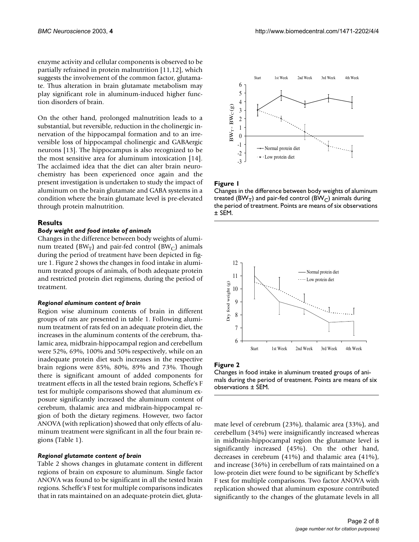enzyme activity and cellular components is observed to be partially refrained in protein malnutrition [11,12], which suggests the involvement of the common factor, glutamate. Thus alteration in brain glutamate metabolism may play significant role in aluminum-induced higher function disorders of brain.

On the other hand, prolonged malnutrition leads to a substantial, but reversible, reduction in the cholinergic innervation of the hippocampal formation and to an irreversible loss of hippocampal cholinergic and GABAergic neurons [13]. The hippocampus is also recognized to be the most sensitive area for aluminum intoxication [14]. The acclaimed idea that the diet can alter brain neurochemistry has been experienced once again and the present investigation is undertaken to study the impact of aluminum on the brain glutamate and GABA systems in a condition where the brain glutamate level is pre-elevated through protein malnutrition.

### **Results**

#### *Body weight and food intake of animals*

Changes in the difference between body weights of aluminum treated (BW<sub>T</sub>) and pair-fed control (BW<sub>C</sub>) animals during the period of treatment have been depicted in figure 1. Figure 2 shows the changes in food intake in aluminum treated groups of animals, of both adequate protein and restricted protein diet regimens, during the period of treatment.

#### *Regional aluminum content of brain*

Region wise aluminum contents of brain in different groups of rats are presented in table [1](#page-2-0). Following aluminum treatment of rats fed on an adequate protein diet, the increases in the aluminum contents of the cerebrum, thalamic area, midbrain-hippocampal region and cerebellum were 52%, 69%, 100% and 50% respectively, while on an inadequate protein diet such increases in the respective brain regions were 85%, 80%, 89% and 73%. Though there is significant amount of added components for treatment effects in all the tested brain regions, Scheffe's F test for multiple comparisons showed that aluminum exposure significantly increased the aluminum content of cerebrum, thalamic area and midbrain-hippocampal region of both the dietary regimens. However, two factor ANOVA (with replication) showed that only effects of aluminum treatment were significant in all the four brain regions (Table [1](#page-2-0)).

#### *Regional glutamate content of brain*

Table [2](#page-2-1) shows changes in glutamate content in different regions of brain on exposure to aluminum. Single factor ANOVA was found to be significant in all the tested brain regions. Scheffe's F test for multiple comparisons indicates that in rats maintained on an adequate-protein diet, gluta-



## **Figure 1**

Changes in the difference between body weights of aluminum treated (BW<sub>T</sub>) and pair-fed control (BW<sub>C</sub>) animals during the period of treatment. Points are means of six observations ± SEM.



## **Figure 2**

Changes in food intake in aluminum treated groups of animals during the period of treatment. Points are means of six observations ± SEM.

mate level of cerebrum (23%), thalamic area (33%), and cerebellum (34%) were insignificantly increased whereas in midbrain-hippocampal region the glutamate level is significantly increased (45%). On the other hand, decreases in cerebrum (41%) and thalamic area (41%), and increase (36%) in cerebellum of rats maintained on a low-protein diet were found to be significant by Scheffe's F test for multiple comparisons. Two factor ANOVA with replication showed that aluminum exposure contributed significantly to the changes of the glutamate levels in all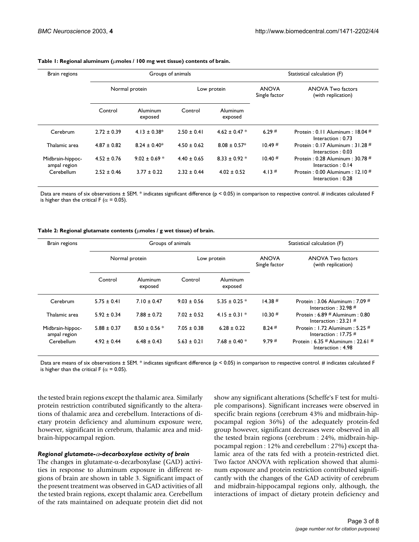| Brain regions                    |                 | Groups of animals   |                 | Statistical calculation (F) |                               |                                                           |
|----------------------------------|-----------------|---------------------|-----------------|-----------------------------|-------------------------------|-----------------------------------------------------------|
|                                  | Normal protein  |                     | Low protein     |                             | <b>ANOVA</b><br>Single factor | <b>ANOVA Two factors</b><br>(with replication)            |
|                                  | Control         | Aluminum<br>exposed | Control         | Aluminum<br>exposed         |                               |                                                           |
| Cerebrum                         | $2.72 \pm 0.39$ | $4.13 \pm 0.38^*$   | $2.50 \pm 0.41$ | $4.62 \pm 0.47$ *           | 6.29#                         | Protein: 0.11 Aluminum: $18.04$ #<br>Interaction $: 0.73$ |
| Thalamic area                    | $4.87 + 0.82$   | $8.24 \pm 0.40^*$   | $4.50 + 0.62$   | $8.08 + 0.57*$              | 10.49#                        | Protein: 0.17 Aluminum: $31.28 \#$<br>Interaction: 0.03   |
| Midbrain-hippoc-<br>ampal region | $4.52 \pm 0.76$ | $9.02 \pm 0.69$ *   | $4.40 \pm 0.65$ | $8.33 \pm 0.92$ *           | 10.40#                        | Protein: 0.28 Aluminum: 30.78 #<br>Interaction: 0.14      |
| Cerebellum                       | $2.52 \pm 0.46$ | $3.77 \pm 0.22$     | $2.32 \pm 0.44$ | $4.02 \pm 0.52$             | 4.13 $#$                      | Protein: $0.00$ Aluminum: 12.10 $#$<br>Interaction : 0.28 |

#### <span id="page-2-0"></span>**Table 1: Regional aluminum (**µ**moles / 100 mg wet tissue) contents of brain.**

Data are means of six observations ± SEM. \* indicates significant difference (p < 0.05) in comparison to respective control. # indicates calculated F is higher than the critical F ( $\alpha$  = 0.05).

#### <span id="page-2-1"></span>**Table 2: Regional glutamate contents (**µ**moles / g wet tissue) of brain.**

| Brain regions                    |                 | Groups of animals   |                 | Statistical calculation (F) |                               |                                                                         |
|----------------------------------|-----------------|---------------------|-----------------|-----------------------------|-------------------------------|-------------------------------------------------------------------------|
|                                  | Normal protein  |                     | Low protein     |                             | <b>ANOVA</b><br>Single factor | <b>ANOVA Two factors</b><br>(with replication)                          |
|                                  | Control         | Aluminum<br>exposed | Control         | Aluminum<br>exposed         |                               |                                                                         |
| Cerebrum                         | $5.75 + 0.41$   | $7.10 + 0.47$       | $9.03 + 0.56$   | $5.35 + 0.25$ *             | 14.38#                        | Protein: $3.06$ Aluminum: $7.09$ #<br>Interaction: $32.98$ <sup>#</sup> |
| Thalamic area                    | $5.92 \pm 0.34$ | $7.88 + 0.72$       | $7.02 + 0.52$   | $4.15 \pm 0.31$ *           | 10.30#                        | Protein: $6.89$ # Aluminum: 0.80<br>Interaction : $23.21 \#$            |
| Midbrain-hippoc-<br>ampal region | $5.88 \pm 0.37$ | $8.50 \pm 0.56$ *   | $7.05 \pm 0.38$ | $6.28 \pm 0.22$             | 8.24#                         | Protein: 1.72 Aluminum: 5.25 #<br>Interaction : $17.75$ #               |
| Cerebellum                       | $4.92 \pm 0.44$ | $6.48 \pm 0.43$     | $5.63 \pm 0.21$ | $7.68 \pm 0.40$ *           | 9.79#                         | Protein: $6.35 \#$ Aluminum: 22.61 $\#$<br>Interaction: 4.98            |

Data are means of six observations ± SEM. \* indicates significant difference (p < 0.05) in comparison to respective control. # indicates calculated F is higher than the critical F ( $\alpha$  = 0.05).

the tested brain regions except the thalamic area. Similarly protein restriction contributed significantly to the alterations of thalamic area and cerebellum. Interactions of dietary protein deficiency and aluminum exposure were, however, significant in cerebrum, thalamic area and midbrain-hippocampal region.

#### *Regional glutamate-*α*-decarboxylase activity of brain*

The changes in glutamate-α-decarboxylase (GAD) activities in response to aluminum exposure in different regions of brain are shown in table [3](#page-3-0). Significant impact of the present treatment was observed in GAD activities of all the tested brain regions, except thalamic area. Cerebellum of the rats maintained on adequate protein diet did not show any significant alterations (Scheffe's F test for multiple comparisons). Significant increases were observed in specific brain regions (cerebrum 43% and midbrain-hippocampal region 36%) of the adequately protein-fed group however, significant decreases were observed in all the tested brain regions (cerebrum : 24%, midbrain-hippocampal region : 12% and cerebellum : 27%) except thalamic area of the rats fed with a protein-restricted diet. Two factor ANOVA with replication showed that aluminum exposure and protein restriction contributed significantly with the changes of the GAD activity of cerebrum and midbrain-hippocampal regions only, although, the interactions of impact of dietary protein deficiency and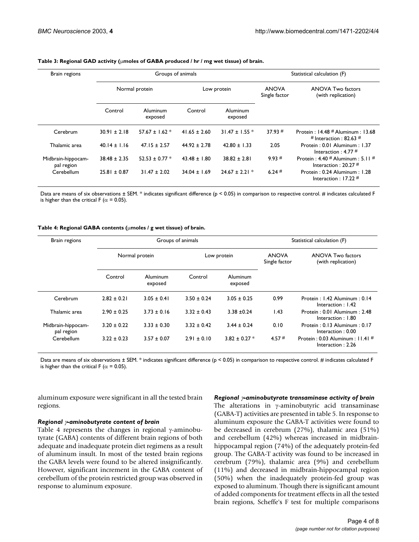| Brain regions                    |                  | Groups of animals   |                  | Statistical calculation (F) |                               |                                                                    |
|----------------------------------|------------------|---------------------|------------------|-----------------------------|-------------------------------|--------------------------------------------------------------------|
|                                  | Normal protein   |                     | Low protein      |                             | <b>ANOVA</b><br>Single factor | <b>ANOVA Two factors</b><br>(with replication)                     |
|                                  | Control          | Aluminum<br>exposed | Control          | Aluminum<br>exposed         |                               |                                                                    |
| Cerebrum                         | $30.91 \pm 2.18$ | $57.67 \pm 1.62$ *  | $41.65 \pm 2.60$ | $31.47 \pm 1.55$ *          | 37.93#                        | Protein: $14.48 \#$ Aluminum: 13.68<br>$#$ Interaction : 82.63 $#$ |
| Thalamic area                    | $40.14 \pm 1.16$ | $47.15 \pm 2.57$    | $44.92 \pm 2.78$ | $42.80 \pm 1.33$            | 2.05                          | Protein: 0.01 Aluminum: 1.37<br>Interaction: $4.77$ #              |
| Midbrain-hippocam-<br>pal region | $38.48 \pm 2.35$ | $52.53 \pm 0.77$ *  | $43.48 \pm 1.80$ | $38.82 \pm 2.81$            | 9.93#                         | Protein: $4.40 \#$ Aluminum: $5.11 \#$<br>Interaction: $20.27$ #   |
| Cerebellum                       | $25.81 \pm 0.87$ | $31.47 \pm 2.02$    | $34.04 \pm 1.69$ | $24.67 \pm 2.21$ *          | 6.24#                         | Protein: 0.24 Aluminum: 1.28<br>Interaction: $17.22 \#$            |

#### <span id="page-3-0"></span>**Table 3: Regional GAD activity (**µ**moles of GABA produced / hr / mg wet tissue) of brain.**

Data are means of six observations ± SEM. \* indicates significant difference (p < 0.05) in comparison to respective control. # indicates calculated F is higher than the critical F ( $\alpha$  = 0.05).

#### <span id="page-3-1"></span>**Table 4: Regional GABA contents (**µ**moles / g wet tissue) of brain.**

| Brain regions                    |                 |                     | Groups of animals | Statistical calculation (F) |                               |                                                         |
|----------------------------------|-----------------|---------------------|-------------------|-----------------------------|-------------------------------|---------------------------------------------------------|
|                                  | Normal protein  |                     | Low protein       |                             | <b>ANOVA</b><br>Single factor | ANOVA Two factors<br>(with replication)                 |
|                                  | Control         | Aluminum<br>exposed | Control           | Aluminum<br>exposed         |                               |                                                         |
| Cerebrum                         | $2.82 + 0.21$   | $3.05 \pm 0.41$     | $3.50 + 0.24$     | $3.05 + 0.25$               | 0.99                          | Protein: 1.42 Aluminum: 0.14<br>Interaction: 1.42       |
| Thalamic area                    | $2.90 \pm 0.25$ | $3.73 \pm 0.16$     | $3.32 \pm 0.43$   | $3.38 + 0.24$               | 1.43                          | Protein: 0.01 Aluminum: 2.48<br>Interaction: 1.80       |
| Midbrain-hippocam-<br>pal region | $3.20 \pm 0.22$ | $3.33 \pm 0.30$     | $3.32 \pm 0.42$   | $3.44 \pm 0.24$             | 0.10                          | Protein: 0.13 Aluminum: 0.17<br>Interaction: 0.00       |
| Cerebellum                       | $3.22 \pm 0.23$ | $3.57 \pm 0.07$     | $2.91 \pm 0.10$   | $3.82 \pm 0.27$ *           | 4.57#                         | Protein: 0.03 Aluminum: $11.41 \#$<br>Interaction: 2.26 |

Data are means of six observations ± SEM. \* indicates significant difference (p < 0.05) in comparison to respective control. # indicates calculated F is higher than the critical F ( $\alpha$  = 0.05).

aluminum exposure were significant in all the tested brain regions.

#### *Regional* γ*-aminobutyrate content of brain*

Table [4](#page-3-1) represents the changes in regional γ-aminobutyrate (GABA) contents of different brain regions of both adequate and inadequate protein diet regimens as a result of aluminum insult. In most of the tested brain regions the GABA levels were found to be altered insignificantly. However, significant increment in the GABA content of cerebellum of the protein restricted group was observed in response to aluminum exposure.

#### *Regional* γ*-aminobutyrate transaminase activity of brain*

The alterations in γ-aminobutyric acid transaminase (GABA-T) activities are presented in table [5.](#page-4-0) In response to aluminum exposure the GABA-T activities were found to be decreased in cerebrum (27%), thalamic area (51%) and cerebellum (42%) whereas increased in midbrainhippocampal region (74%) of the adequately protein-fed group. The GABA-T activity was found to be increased in cerebrum (79%), thalamic area (9%) and cerebellum (11%) and decreased in midbrain-hippocampal region (50%) when the inadequately protein-fed group was exposed to aluminum. Though there is significant amount of added components for treatment effects in all the tested brain regions, Scheffe's F test for multiple comparisons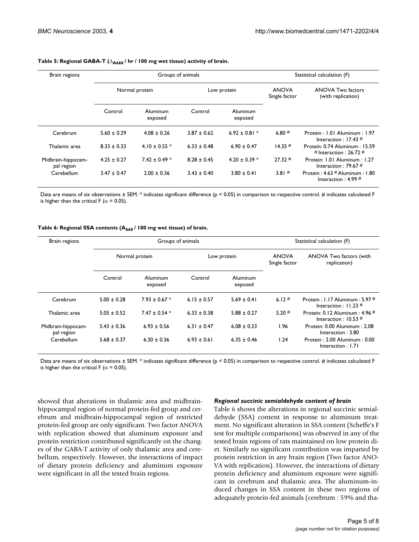| Brain regions                    |                 | Groups of animals   | Statistical calculation (F) |                     |                               |                                                               |
|----------------------------------|-----------------|---------------------|-----------------------------|---------------------|-------------------------------|---------------------------------------------------------------|
|                                  | Normal protein  |                     | Low protein                 |                     | <b>ANOVA</b><br>Single factor | <b>ANOVA Two factors</b><br>(with replication)                |
|                                  | Control         | Aluminum<br>exposed | Control                     | Aluminum<br>exposed |                               |                                                               |
| Cerebrum                         | $5.60 \pm 0.29$ | $4.08 \pm 0.26$     | $3.87 \pm 0.62$             | $6.92 \pm 0.81$ *   | 6.80#                         | Protein: 1.01 Aluminum: 1.97<br>Interaction : $17.43 \#$      |
| Thalamic area                    | $8.33 \pm 0.33$ | $4.10 \pm 0.55$ *   | $6.33 \pm 0.48$             | $6.90 \pm 0.47$     | 14.35#                        | Protein: 0.74 Aluminum: 15.59<br>$#$ Interaction : 26.72 $#$  |
| Midbrain-hippocam-<br>pal region | $4.25 \pm 0.27$ | $7.42 \pm 0.49$ *   | $8.28 \pm 0.45$             | $4.20 \pm 0.39$ *   | 27.32#                        | Protein: 1.01 Aluminum : 1.27<br>Interaction : 79.67 $#$      |
| Cerebellum                       | $3.47 \pm 0.47$ | $2.00 \pm 0.36$     | $3.43 \pm 0.40$             | $3.80 \pm 0.41$     | 3.81#                         | Protein: $4.63$ $#$ Aluminum: 1.80<br>Interaction : $4.99 \#$ |

## <span id="page-4-0"></span>Table 5: Regional GABA-T (∆<sub>A660</sub> / hr / 100 mg wet tissue) activity of brain.

Data are means of six observations ± SEM. \* indicates significant difference (p < 0.05) in comparison to respective control. # indicates calculated F is higher than the critical F ( $\alpha$  = 0.05).

#### <span id="page-4-1"></span>Table 6: Regional SSA contents (A<sub>660</sub> / 100 mg wet tissue) of brain.

| Brain regions                    |                 | Groups of animals   | Statistical calculation (F) |                     |                               |                                                                |
|----------------------------------|-----------------|---------------------|-----------------------------|---------------------|-------------------------------|----------------------------------------------------------------|
|                                  | Normal protein  |                     | Low protein                 |                     | <b>ANOVA</b><br>Single factor | ANOVA Two factors (with<br>replication)                        |
|                                  | Control         | Aluminum<br>exposed | Control                     | Aluminum<br>exposed |                               |                                                                |
| Cerebrum                         | $5.00 \pm 0.28$ | $7.93 + 0.67*$      | $6.15 \pm 0.57$             | $5.69 + 0.41$       | 6.12#                         | Protein: $1.17$ Aluminum: $5.97$ #<br>Interaction : $11.23 \#$ |
| Thalamic area                    | $5.05 \pm 0.52$ | $7.47 \pm 0.54$ *   | $6.33 \pm 0.38$             | $5.88 \pm 0.27$     | 5.20#                         | Protein: 0.12 Aluminum: $4.96 \#$<br>Interaction : $10.53 \#$  |
| Midbrain-hippocam-<br>pal region | $5.43 \pm 0.36$ | $6.93 \pm 0.56$     | $6.31 \pm 0.47$             | $6.08 \pm 0.33$     | 1.96                          | Protein: 0.00 Aluminum: 2.08<br>Interaction: 3.80              |
| Cerebellum                       | $5.68 \pm 0.37$ | $6.30 \pm 0.36$     | $6.93 \pm 0.61$             | $6.35 \pm 0.46$     | 1.24                          | Protein: 2.00 Aluminum: 0.00<br>Interaction: 1.71              |

Data are means of six observations ± SEM. \* indicates significant difference (p < 0.05) in comparison to respective control. # indicates calculated F is higher than the critical F ( $\alpha$  = 0.05).

showed that alterations in thalamic area and midbrainhippocampal region of normal protein-fed group and cerebrum and midbrain-hippocampal region of restricted protein-fed group are only significant. Two factor ANOVA with replication showed that aluminum exposure and protein restriction contributed significantly on the changes of the GABA-T activity of only thalamic area and cerebellum, respectively. However, the interactions of impact of dietary protein deficiency and aluminum exposure were significant in all the tested brain regions.

#### *Regional succinic semialdehyde content of brain*

Table [6](#page-4-1) shows the alterations in regional succinic semialdehyde (SSA) content in response to aluminum treatment. No significant alteration in SSA content (Scheffe's F test for multiple comparisons) was observed in any of the tested brain regions of rats maintained on low protein diet. Similarly no significant contribution was imparted by protein restriction in any brain region (Two factor ANO-VA with replication). However, the interactions of dietary protein deficiency and aluminum exposure were significant in cerebrum and thalamic area. The aluminum-induced changes in SSA content in these two regions of adequately protein-fed animals (cerebrum : 59% and tha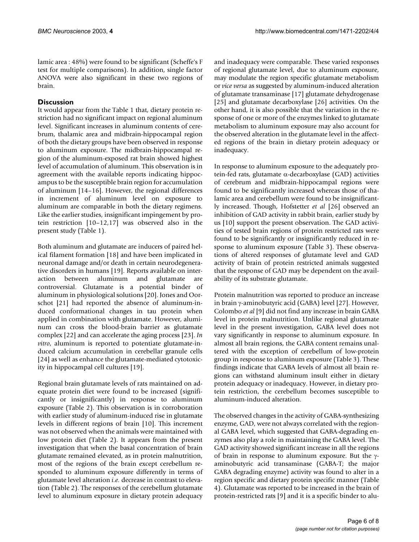lamic area : 48%) were found to be significant (Scheffe's F test for multiple comparisons). In addition, single factor ANOVA were also significant in these two regions of brain.

## **Discussion**

It would appear from the Table [1](#page-2-0) that, dietary protein restriction had no significant impact on regional aluminum level. Significant increases in aluminum contents of cerebrum, thalamic area and midbrain-hippocampal region of both the dietary groups have been observed in response to aluminum exposure. The midbrain-hippocampal region of the aluminum-exposed rat brain showed highest level of accumulation of aluminum. This observation is in agreement with the available reports indicating hippocampus to be the susceptible brain region for accumulation of aluminum [14–16]. However, the regional differences in increment of aluminum level on exposure to aluminum are comparable in both the dietary regimens. Like the earlier studies, insignificant impingement by protein restriction [10–12,17] was observed also in the present study (Table [1](#page-2-0)).

Both aluminum and glutamate are inducers of paired helical filament formation [18] and have been implicated in neuronal damage and/or death in certain neurodegenerative disorders in humans [19]. Reports available on interaction between aluminum and glutamate are controversial. Glutamate is a potential binder of aluminum in physiological solutions [20]. Jones and Oorschot [21] had reported the absence of aluminum-induced conformational changes in tau protein when applied in combination with glutamate. However, aluminum can cross the blood-brain barrier as glutamate complex [22] and can accelerate the aging process [23]. *In vitro*, aluminum is reported to potentiate glutamate-induced calcium accumulation in cerebellar granule cells [24] as well as enhance the glutamate-mediated cytotoxicity in hippocampal cell cultures [19].

Regional brain glutamate levels of rats maintained on adequate protein diet were found to be increased (significantly or insignificantly) in response to aluminum exposure (Table [2\)](#page-2-1). This observation is in corroboration with earlier study of aluminum-induced rise in glutamate levels in different regions of brain [10]. This increment was not observed when the animals were maintained with low protein diet (Table [2](#page-2-1)). It appears from the present investigation that when the basal concentration of brain glutamate remained elevated, as in protein malnutrition, most of the regions of the brain except cerebellum responded to aluminum exposure differently in terms of glutamate level alteration *i.e.* decrease in contrast to elevation (Table [2](#page-2-1)). The responses of the cerebellum glutamate level to aluminum exposure in dietary protein adequacy and inadequacy were comparable. These varied responses of regional glutamate level, due to aluminum exposure, may modulate the region specific glutamate metabolism or *vice versa* as suggested by aluminum-induced alteration of glutamate transaminase [17] glutamate dehydrogenase [25] and glutamate decarboxylase [26] activities. On the other hand, it is also possible that the variation in the response of one or more of the enzymes linked to glutamate metabolism to aluminum exposure may also account for the observed alteration in the glutamate level in the affected regions of the brain in dietary protein adequacy or inadequacy.

In response to aluminum exposure to the adequately protein-fed rats, glutamate α-decarboxylase (GAD) activities of cerebrum and midbrain-hippocampal regions were found to be significantly increased whereas those of thalamic area and cerebellum were found to be insignificantly increased. Though, Hofstetter *et al* [26] observed an inhibition of GAD activity in rabbit brain, earlier study by us [10] support the present observation. The GAD activities of tested brain regions of protein restricted rats were found to be significantly or insignificantly reduced in response to aluminum exposure (Table [3\)](#page-3-0). These observations of altered responses of glutamate level and GAD activity of brain of protein restricted animals suggested that the response of GAD may be dependent on the availability of its substrate glutamate.

Protein malnutrition was reported to produce an increase in brain γ-aminobutyric acid (GABA) level [27]. However, Colombo *et al* [9] did not find any increase in brain GABA level in protein malnutrition. Unlike regional glutamate level in the present investigation, GABA level does not vary significantly in response to aluminum exposure. In almost all brain regions, the GABA content remains unaltered with the exception of cerebellum of low-protein group in response to aluminum exposure (Table [3\)](#page-3-0). These findings indicate that GABA levels of almost all brain regions can withstand aluminum insult either in dietary protein adequacy or inadequacy. However, in dietary protein restriction, the cerebellum becomes susceptible to aluminum-induced alteration.

The observed changes in the activity of GABA-synthesizing enzyme, GAD, were not always correlated with the regional GABA level, which suggested that GABA-degrading enzymes also play a role in maintaining the GABA level. The GAD activity showed significant increase in all the regions of brain in response to aluminum exposure. But the γaminobutyric acid transaminase (GABA-T; the major GABA degrading enzyme) activity was found to alter in a region specific and dietary protein specific manner (Table [4](#page-3-1)). Glutamate was reported to be increased in the brain of protein-restricted rats [9] and it is a specific binder to alu-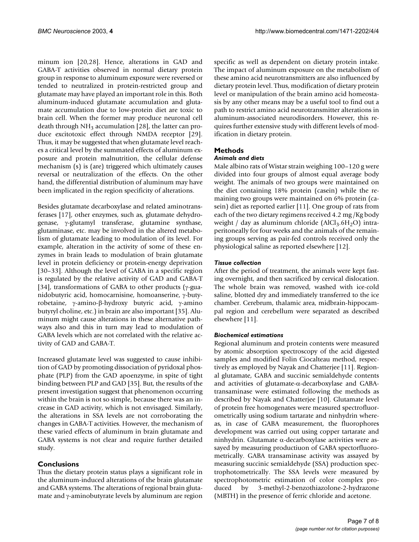minum ion [20,28]. Hence, alterations in GAD and GABA-T activities observed in normal dietary protein group in response to aluminum exposure were reversed or tended to neutralized in protein-restricted group and glutamate may have played an important role in this. Both aluminum-induced glutamate accumulation and glutamate accumulation due to low-protein diet are toxic to brain cell. When the former may produce neuronal cell death through  $NH_3$  accumulation [28], the latter can produce excitotoxic effect through NMDA receptor [29]. Thus, it may be suggested that when glutamate level reaches a critical level by the summated effects of aluminum exposure and protein malnutrition, the cellular defense mechanism (s) is (are) triggered which ultimately causes reversal or neutralization of the effects. On the other hand, the differential distribution of aluminum may have been implicated in the region specificity of alterations.

Besides glutamate decarboxylase and related aminotransferases [17], other enzymes, such as, glutamate dehydrogenase, γ-glutamyl transferase, glutamine synthase, glutaminase, etc. may be involved in the altered metabolism of glutamate leading to modulation of its level. For example, alteration in the activity of some of these enzymes in brain leads to modulation of brain glutamate level in protein deficiency or protein-energy deprivation [30–33]. Although the level of GABA in a specific region is regulated by the relative activity of GAD and GABA-T [34], transformations of GABA to other products (γ-guanidobutyric acid, homocarnisine, homoanserine, γ-butyrobetaine, γ-amino-β-hydroxy butyric acid, γ-amino butyryl choline, etc.) in brain are also important [35]. Aluminum might cause alterations in these alternative pathways also and this in turn may lead to modulation of GABA levels which are not correlated with the relative activity of GAD and GABA-T.

Increased glutamate level was suggested to cause inhibition of GAD by promoting dissociation of pyridoxal phosphate (PLP) from the GAD apoenzyme, in spite of tight binding between PLP and GAD [35]. But, the results of the present investigation suggest that phenomenon occurring within the brain is not so simple, because there was an increase in GAD activity, which is not envisaged. Similarly, the alterations in SSA levels are not corroborating the changes in GABA-T activities. However, the mechanism of these varied effects of aluminum in brain glutamate and GABA systems is not clear and require further detailed study.

## **Conclusions**

Thus the dietary protein status plays a significant role in the aluminum-induced alterations of the brain glutamate and GABA systems. The alterations of regional brain glutamate and γ-aminobutyrate levels by aluminum are region

specific as well as dependent on dietary protein intake. The impact of aluminum exposure on the metabolism of these amino acid neurotransmitters are also influenced by dietary protein level. Thus, modification of dietary protein level or manipulation of the brain amino acid homeostasis by any other means may be a useful tool to find out a path to restrict amino acid neurotransmitter alterations in aluminum-associated neurodisorders. However, this requires further extensive study with different levels of modification in dietary protein.

## **Methods**

## *Animals and diets*

Male albino rats of Wistar strain weighing 100–120 g were divided into four groups of almost equal average body weight. The animals of two groups were maintained on the diet containing 18% protein (casein) while the remaining two groups were maintained on 6% protein (casein) diet as reported earlier [11]. One group of rats from each of the two dietary regimens received 4.2 mg /Kg body weight / day as aluminum chloride  $(AICl<sub>3</sub>.6H<sub>2</sub>O)$  intraperitoneally for four weeks and the animals of the remaining groups serving as pair-fed controls received only the physiological saline as reported elsewhere [12].

## *Tissue collection*

After the period of treatment, the animals were kept fasting overnight, and then sacrificed by cervical dislocation. The whole brain was removed, washed with ice-cold saline, blotted dry and immediately transferred to the ice chamber. Cerebrum, thalamic area, midbrain-hippocampal region and cerebellum were separated as described elsewhere [11].

## *Biochemical estimations*

Regional aluminum and protein contents were measured by atomic absorption spectroscopy of the acid digested samples and modified Folin Ciocalteau method, respectively as employed by Nayak and Chatterjee [11]. Regional glutamate, GABA and succinic semialdehyde contents and activities of glutamate-α-decarboxylase and GABAtransaminase were estimated following the methods as described by Nayak and Chatterjee [10]. Glutamate level of protein free homogenates were measured spectrofluorometrically using sodium tartarate and ninhydrin whereas, in case of GABA measurement, the fluorophores development was carried out using copper tartarate and ninhydrin. Glutamate α-decarboxylase activities were assayed by measuring productiuon of GABA spectorfluorometrically. GABA transaminase activity was assayed by measuring succinic semialdehyde (SSA) production spectrophotometrically. The SSA levels were measured by spectrophotometric estimation of color complex produced by 3-methyl-2-benzothiazolone-2-hydrazone (MBTH) in the presence of ferric chloride and acetone.